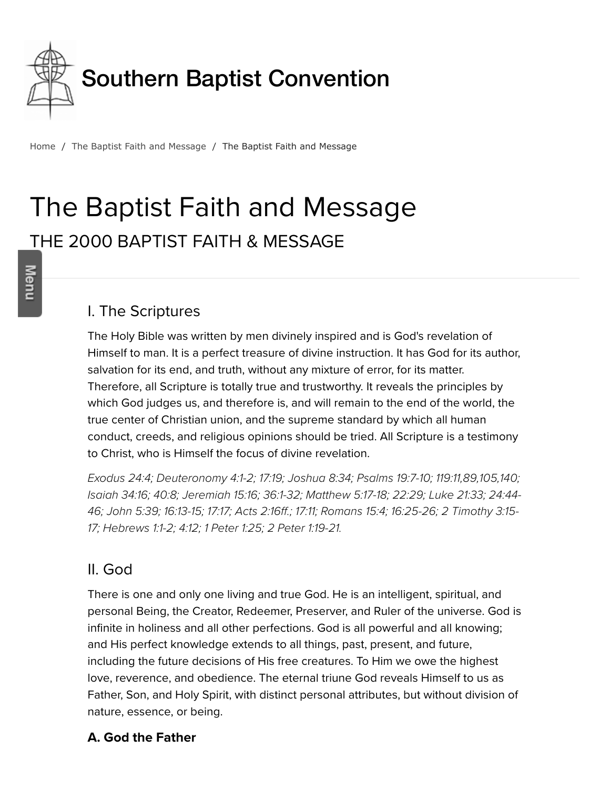

Home / The Baptist Faith and Message / The Baptist Faith and Message

# The Baptist Faith and Message THE 2000 BAPTIST FAITH & MESSAGE

#### I. The Scriptures

The Holy Bible was written by men divinely inspired and is God's revelation of Himself to man. It is a perfect treasure of divine instruction. It has God for its author, salvation for its end, and truth, without any mixture of error, for its matter. Therefore, all Scripture is totally true and trustworthy. It reveals the principles by which God judges us, and therefore is, and will remain to the end of the world, the true center of Christian union, and the supreme standard by which all human conduct, creeds, and religious opinions should be tried. All Scripture is a testimony to Christ, who is Himself the focus of divine revelation.

*[Exodus 24:4](http://biblia.com/bible/hcsb/Exodus%2024.4); [Deuteronomy 4:1-2;](http://biblia.com/bible/hcsb/Deuteronomy%204.1-2) [17:19](http://biblia.com/bible/hcsb/Deuteronomy%2017.19); [Joshua 8:34;](http://biblia.com/bible/hcsb/Joshua%208.34) [Psalms 19:7-10](http://biblia.com/bible/hcsb/Psalms%2019.7-10); [119:11](http://biblia.com/bible/hcsb/Psalms%20119.11),[89](http://biblia.com/bible/hcsb/Psalms%20119.89)[,105](http://biblia.com/bible/hcsb/Psalms%20119.105),[140](http://biblia.com/bible/hcsb/Psalms%20119.140); [Isaiah 34:1](http://biblia.com/bible/hcsb/Isaiah%2034.16)[6;](http://biblia.com/bible/hcsb/Luke%2024.44-46) [40:](http://biblia.com/bible/hcsb/Isaiah%2040.8)[8;](http://biblia.com/bible/hcsb/Luke%2024.44-46) [Jeremiah 15:16](http://biblia.com/bible/hcsb/Jeremiah%2015.16)[;](http://biblia.com/bible/hcsb/Luke%2024.44-46) [36:1-3](http://biblia.com/bible/hcsb/Jeremiah%2036.1-32)[2;](http://biblia.com/bible/hcsb/Luke%2024.44-46) [Matthew 5:17-18](http://biblia.com/bible/hcsb/Matthew%205.17-18)[;](http://biblia.com/bible/hcsb/Luke%2024.44-46) [22:29](http://biblia.com/bible/hcsb/Matthew%2022.29)[; L](http://biblia.com/bible/hcsb/Luke%2024.44-46)[uke 21:3](http://biblia.com/bible/hcsb/Luke%2021.33)[3; 24:44-](http://biblia.com/bible/hcsb/Luke%2024.44-46) [46;](http://biblia.com/bible/hcsb/2%20Timothy%203.15-17) [John 5:39](http://biblia.com/bible/hcsb/John%205.39)[; 1](http://biblia.com/bible/hcsb/2%20Timothy%203.15-17)[6:13-1](http://biblia.com/bible/hcsb/John%2016.13-15)[5;](http://biblia.com/bible/hcsb/2%20Timothy%203.15-17) [17:1](http://biblia.com/bible/hcsb/John%2017.17)[7;](http://biblia.com/bible/hcsb/2%20Timothy%203.15-17) [Acts 2:16f](http://biblia.com/bible/hcsb/Acts%202.16ff)[f.; 1](http://biblia.com/bible/hcsb/2%20Timothy%203.15-17)[7:1](http://biblia.com/bible/hcsb/Acts%2017.11)[1;](http://biblia.com/bible/hcsb/2%20Timothy%203.15-17) [Romans 15:](http://biblia.com/bible/hcsb/Romans%2015.4)[4; 1](http://biblia.com/bible/hcsb/2%20Timothy%203.15-17)[6:25-26](http://biblia.com/bible/hcsb/Romans%2016.25-26)[; 2 Timothy 3:15-](http://biblia.com/bible/hcsb/2%20Timothy%203.15-17) 17; [Hebrews 1:1-2](http://biblia.com/bible/hcsb/Hebrews%201.1-2); [4:12;](http://biblia.com/bible/hcsb/Hebrews%204.12) [1 Peter 1:25;](http://biblia.com/bible/hcsb/1%20Peter%201.25) [2 Peter 1:19-21.](http://biblia.com/bible/hcsb/2%20Peter%201.19-21)*

#### II. God

There is one and only one living and true God. He is an intelligent, spiritual, and personal Being, the Creator, Redeemer, Preserver, and Ruler of the universe. God is infinite in holiness and all other perfections. God is all powerful and all knowing; and His perfect knowledge extends to all things, past, present, and future, including the future decisions of His free creatures. To Him we owe the highest love, reverence, and obedience. The eternal triune God reveals Himself to us as Father, Son, and Holy Spirit, with distinct personal attributes, but without division of nature, essence, or being.

#### **A. God the Father**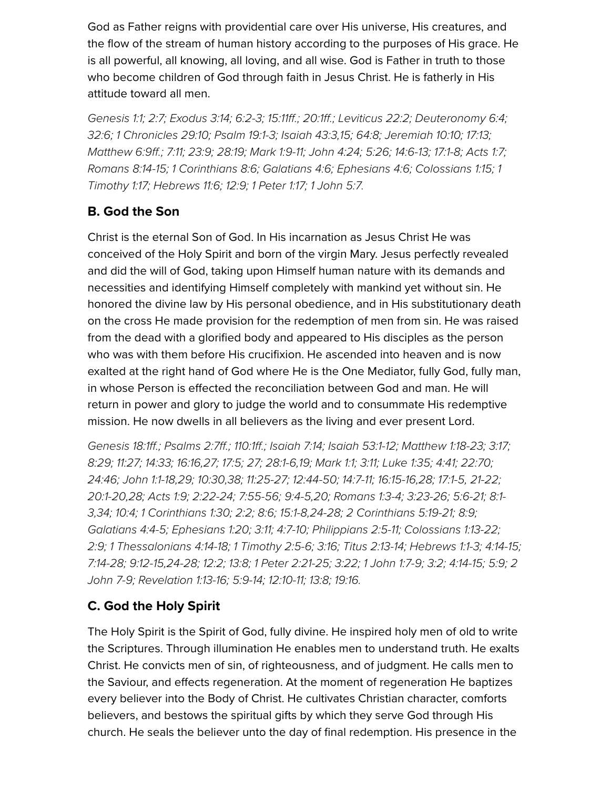God as Father reigns with providential care over His universe, His creatures, and the flow of the stream of human history according to the purposes of His grace. He is all powerful, all knowing, all loving, and all wise. God is Father in truth to those who become children of God through faith in Jesus Christ. He is fatherly in His attitude toward all men.

*[Genesis 1:1](http://biblia.com/bible/hcsb/Genesis%201.1); [2:7;](http://biblia.com/bible/hcsb/Genesis%202.7) [Exodus 3:14;](http://biblia.com/bible/hcsb/Exodus%203.14) [6:2-3](http://biblia.com/bible/hcsb/Exodus%206.2-3); [15:11ff.](http://biblia.com/bible/hcsb/Exodus%2015.11ff); [20:1ff](http://biblia.com/bible/hcsb/Exodus%2020.1ff).; [Leviticus 22:2](http://biblia.com/bible/hcsb/Leviticus%2022.2); [Deuteronomy 6:4](http://biblia.com/bible/hcsb/Deuteronomy%206.4); [32:6](http://biblia.com/bible/hcsb/Deuteronomy%2032.6); [1 Chronicles 29:10](http://biblia.com/bible/hcsb/1%20Chronicles%2029.10); [Psalm 19:1-3;](http://biblia.com/bible/hcsb/Psalm%2019.1-3) [Isaiah 43:3,](http://biblia.com/bible/hcsb/Isaiah%2043.3)[15;](http://biblia.com/bible/hcsb/Isaiah%2043.15) [64:8;](http://biblia.com/bible/hcsb/Isaiah%2064.8) [Jeremiah 10:10;](http://biblia.com/bible/hcsb/Jeremiah%2010.10) [17:13;](http://biblia.com/bible/hcsb/Jeremiah%2017.13) [Matthew 6:9ff.](http://biblia.com/bible/hcsb/Matthew%206.9ff); [7:11](http://biblia.com/bible/hcsb/Matthew%207.11); [23:9](http://biblia.com/bible/hcsb/Matthew%2023.9); [28:19](http://biblia.com/bible/hcsb/Matthew%2028.19); [Mark 1:9-11;](http://biblia.com/bible/hcsb/Mark%201.9-11) [John 4:24](http://biblia.com/bible/hcsb/John%204.24); [5:26;](http://biblia.com/bible/hcsb/John%205.26) [14:6-13](http://biblia.com/bible/hcsb/John%2014.6-13); [17:1-8](http://biblia.com/bible/hcsb/John%2017.1-8); [Acts 1:7](http://biblia.com/bible/hcsb/Acts%201.7); [Romans 8:14-1](http://biblia.com/bible/hcsb/Romans%208.14-15)[5; 1](http://biblia.com/bible/hcsb/1%20Timothy%201.17) [Corinthians 8:](http://biblia.com/bible/hcsb/1%20Corinthians%208.6)[6; G](http://biblia.com/bible/hcsb/1%20Timothy%201.17)[alatians 4:6](http://biblia.com/bible/hcsb/Galatians%204.6)[;](http://biblia.com/bible/hcsb/1%20Timothy%201.17) [Ephesians 4:](http://biblia.com/bible/hcsb/Ephesians%204.6)[6;](http://biblia.com/bible/hcsb/1%20Timothy%201.17) [Colossians 1:15](http://biblia.com/bible/hcsb/Colossians%201.15)[; 1](http://biblia.com/bible/hcsb/1%20Timothy%201.17) Timothy 1:17; [Hebrews 11:6](http://biblia.com/bible/hcsb/Hebrews%2011.6); [12:9](http://biblia.com/bible/hcsb/Hebrews%2012.9); [1 Peter 1:17](http://biblia.com/bible/hcsb/1%20Peter%201.17); [1 John 5:7.](http://biblia.com/bible/hcsb/1%20John%205.7)*

#### **B. God the Son**

Christ is the eternal Son of God. In His incarnation as Jesus Christ He was conceived of the Holy Spirit and born of the virgin Mary. Jesus perfectly revealed and did the will of God, taking upon Himself human nature with its demands and necessities and identifying Himself completely with mankind yet without sin. He honored the divine law by His personal obedience, and in His substitutionary death on the cross He made provision for the redemption of men from sin. He was raised from the dead with a glorified body and appeared to His disciples as the person who was with them before His crucifixion. He ascended into heaven and is now exalted at the right hand of God where He is the One Mediator, fully God, fully man, in whose Person is effected the reconciliation between God and man. He will return in power and glory to judge the world and to consummate His redemptive mission. He now dwells in all believers as the living and ever present Lord.

*[Genesis 18:1ff.](http://biblia.com/bible/hcsb/Genesis%2018.1ff); [Psalms 2:7ff.](http://biblia.com/bible/hcsb/Psalms%202.7ff); [110:1ff](http://biblia.com/bible/hcsb/Psalms%20110.1ff).; [Isaiah 7:14;](http://biblia.com/bible/hcsb/Isaiah%207.14) [Isaiah 53:1-12;](http://biblia.com/bible/hcsb/Isaiah%2053.1-12) [Matthew 1:18-23](http://biblia.com/bible/hcsb/Matthew%201.18-23); [3:17;](http://biblia.com/bible/hcsb/Matthew%203.17)* [8:29](http://biblia.com/bible/hcsb/Matthew%208.29); [11:27](http://biblia.com/bible/hcsb/Matthew%2011.27); [14:33;](http://biblia.com/bible/hcsb/Matthew%2014.33) [16:16,](http://biblia.com/bible/hcsb/Matthew%2016.16)[27](http://biblia.com/bible/hcsb/Matthew%2016.27); [17:5](http://biblia.com/bible/hcsb/Matthew%2017.5); [27](http://biblia.com/bible/hcsb/Matthew%2017.27); [28:1-6,](http://biblia.com/bible/hcsb/Matthew%2028.1-6)[19;](http://biblia.com/bible/hcsb/Matthew%2028.19) [Mark 1:1;](http://biblia.com/bible/hcsb/Mark%201.1) [3:11](http://biblia.com/bible/hcsb/Mark%203.11); [Luke 1:35](http://biblia.com/bible/hcsb/Luke%201.35); [4:41](http://biblia.com/bible/hcsb/Luke%204.41); [22:70;](http://biblia.com/bible/hcsb/Luke%2022.70) *[24:46;](http://biblia.com/bible/hcsb/Luke%2024.46) [John 1:1-18](http://biblia.com/bible/hcsb/John%201.1-18),[29;](http://biblia.com/bible/hcsb/John%201.29) [10:30](http://biblia.com/bible/hcsb/John%2010.30)[,38;](http://biblia.com/bible/hcsb/John%2010.38) [11:25-27](http://biblia.com/bible/hcsb/John%2011.25-27); [12:44-50](http://biblia.com/bible/hcsb/John%2012.44-50); [14:7-11;](http://biblia.com/bible/hcsb/John%2014.7-11) [16:15-16](http://biblia.com/bible/hcsb/John%2016.15-16)[,28](http://biblia.com/bible/hcsb/John%2016.28); [17:1-5,](http://biblia.com/bible/hcsb/John%2017.1-5) [21-22;](http://biblia.com/bible/hcsb/John%2017.21-22)* [20:1-2](http://biblia.com/bible/hcsb/John%2020.1-20)[0,](http://biblia.com/bible/hcsb/Romans%208.1-3)[28](http://biblia.com/bible/hcsb/John%2020.28)[; A](http://biblia.com/bible/hcsb/Romans%208.1-3)[cts 1:9](http://biblia.com/bible/hcsb/Acts%201.9)[;](http://biblia.com/bible/hcsb/Romans%208.1-3) [2:22-2](http://biblia.com/bible/hcsb/Acts%202.22-24)[4; 7](http://biblia.com/bible/hcsb/Romans%208.1-3)[:55-56](http://biblia.com/bible/hcsb/Acts%207.55-56)[; 9](http://biblia.com/bible/hcsb/Romans%208.1-3)[:4-](http://biblia.com/bible/hcsb/Acts%209.4-5)[5,](http://biblia.com/bible/hcsb/Romans%208.1-3)[2](http://biblia.com/bible/hcsb/Acts%209.20)[0;](http://biblia.com/bible/hcsb/Romans%208.1-3) [Romans 1:3-](http://biblia.com/bible/hcsb/Romans%201.3-4)[4; 3](http://biblia.com/bible/hcsb/Romans%208.1-3)[:23-2](http://biblia.com/bible/hcsb/Romans%203.23-26)[6; 5](http://biblia.com/bible/hcsb/Romans%208.1-3)[:6-21](http://biblia.com/bible/hcsb/Romans%205.6-21)[; 8:1-](http://biblia.com/bible/hcsb/Romans%208.1-3) *3[,34](http://biblia.com/bible/hcsb/Romans%208.34); [10:4](http://biblia.com/bible/hcsb/Romans%2010.4); [1 Corinthians 1:30;](http://biblia.com/bible/hcsb/1%20Corinthians%201.30) [2:2](http://biblia.com/bible/hcsb/1%20Corinthians%202.2); [8:6](http://biblia.com/bible/hcsb/1%20Corinthians%208.6); [15:1-8,](http://biblia.com/bible/hcsb/1%20Corinthians%2015.1-8)[24-28](http://biblia.com/bible/hcsb/1%20Corinthians%2015.24-28); [2 Corinthians 5:19-21;](http://biblia.com/bible/hcsb/2%20Corinthians%205.19-21) [8:9;](http://biblia.com/bible/hcsb/2%20Corinthians%208.9) [Galatians 4:4-5;](http://biblia.com/bible/hcsb/Galatians%204.4-5) [Ephesians 1:20](http://biblia.com/bible/hcsb/Ephesians%201.20); [3:11](http://biblia.com/bible/hcsb/Ephesians%203.11); [4:7-10;](http://biblia.com/bible/hcsb/Ephesians%204.7-10) [Philippians 2:5-11](http://biblia.com/bible/hcsb/Philippians%202.5-11); [Colossians 1:13-22;](http://biblia.com/bible/hcsb/Colossians%201.13-22) [2:9;](http://biblia.com/bible/hcsb/Colossians%202.9) [1 Thessalonians 4:14-18;](http://biblia.com/bible/hcsb/1%20Thessalonians%204.14-18) [1 Timothy 2:5-6](http://biblia.com/bible/hcsb/1%20Timothy%202.5-6); [3:16;](http://biblia.com/bible/hcsb/1%20Timothy%203.16) [Titus 2:13-14;](http://biblia.com/bible/hcsb/Titus%202.13-14) [Hebrews 1:1-3;](http://biblia.com/bible/hcsb/Hebrews%201.1-3) [4:14-15;](http://biblia.com/bible/hcsb/Hebrews%204.14-15)* [7:14-2](http://biblia.com/bible/hcsb/Hebrews%207.14-28)[8;](http://biblia.com/bible/hcsb/2%20John%207-9) [9:12-15](http://biblia.com/bible/hcsb/Hebrews%209.12-15)[,](http://biblia.com/bible/hcsb/2%20John%207-9)[24-2](http://biblia.com/bible/hcsb/Hebrews%209.24-28)[8; 1](http://biblia.com/bible/hcsb/2%20John%207-9)[2:](http://biblia.com/bible/hcsb/Hebrews%2012.2)[2; 1](http://biblia.com/bible/hcsb/2%20John%207-9)[3:8](http://biblia.com/bible/hcsb/Hebrews%2013.8)[;](http://biblia.com/bible/hcsb/2%20John%207-9) [1 Peter 2:21-25](http://biblia.com/bible/hcsb/1%20Peter%202.21-25); [3:2](http://biblia.com/bible/hcsb/1%20Peter%203.22)[2;](http://biblia.com/bible/hcsb/2%20John%207-9) [1 John 1:7-](http://biblia.com/bible/hcsb/1%20John%201.7-9)[9;](http://biblia.com/bible/hcsb/2%20John%207-9) [3:](http://biblia.com/bible/hcsb/1%20John%203.2)2; [4:14-15](http://biblia.com/bible/hcsb/1%20John%204.14-15); [5:](http://biblia.com/bible/hcsb/1%20John%205.9)[9; 2](http://biblia.com/bible/hcsb/2%20John%207-9) *John 7-9; [Revelation 1:13-16;](http://biblia.com/bible/hcsb/Revelation%201.13-16) [5:9-14;](http://biblia.com/bible/hcsb/Revelation%205.9-14) [12:10-11;](http://biblia.com/bible/hcsb/Revelation%2012.10-11) [13:8](http://biblia.com/bible/hcsb/Revelation%2013.8); [19:16](http://biblia.com/bible/hcsb/Revelation%2019.16).*

#### **C. God the Holy Spirit**

The Holy Spirit is the Spirit of God, fully divine. He inspired holy men of old to write the Scriptures. Through illumination He enables men to understand truth. He exalts Christ. He convicts men of sin, of righteousness, and of judgment. He calls men to the Saviour, and effects regeneration. At the moment of regeneration He baptizes every believer into the Body of Christ. He cultivates Christian character, comforts believers, and bestows the spiritual gifts by which they serve God through His church. He seals the believer unto the day of final redemption. His presence in the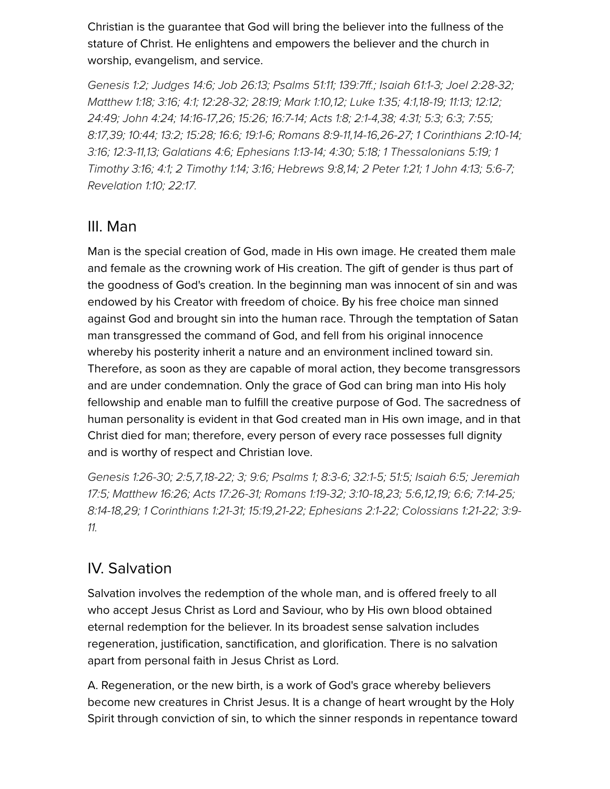Christian is the guarantee that God will bring the believer into the fullness of the stature of Christ. He enlightens and empowers the believer and the church in worship, evangelism, and service.

*[Genesis 1:2;](http://biblia.com/bible/hcsb/Genesis%201.2) [Judges 14:6](http://biblia.com/bible/hcsb/Judges%2014.6); [Job 26:13](http://biblia.com/bible/hcsb/Job%2026.13); [Psalms 51:11;](http://biblia.com/bible/hcsb/Psalms%2051.11) [139:7ff.](http://biblia.com/bible/hcsb/Psalms%20139.7ff); [Isaiah 61:1-3](http://biblia.com/bible/hcsb/Isaiah%2061.1-3); [Joel 2:28-32;](http://biblia.com/bible/hcsb/Joel%202.28-32)* [Matthew 1:18;](http://biblia.com/bible/hcsb/Matthew%201.18) [3:16](http://biblia.com/bible/hcsb/Matthew%203.16); [4:1;](http://biblia.com/bible/hcsb/Matthew%204.1) [12:28-32;](http://biblia.com/bible/hcsb/Matthew%2012.28-32) [28:19;](http://biblia.com/bible/hcsb/Matthew%2028.19) [Mark 1:10](http://biblia.com/bible/hcsb/Mark%201.10),[12;](http://biblia.com/bible/hcsb/Mark%201.12) [Luke 1:35](http://biblia.com/bible/hcsb/Luke%201.35); [4:1,](http://biblia.com/bible/hcsb/Luke%204.1)[18-19](http://biblia.com/bible/hcsb/Luke%204.18-19); [11:13](http://biblia.com/bible/hcsb/Luke%2011.13); [12:12](http://biblia.com/bible/hcsb/Luke%2012.12); [24:49;](http://biblia.com/bible/hcsb/Luke%2024.49) [John 4:24](http://biblia.com/bible/hcsb/John%204.24); [14:16-17](http://biblia.com/bible/hcsb/John%2014.16-17),[26;](http://biblia.com/bible/hcsb/John%2014.26) [15:26;](http://biblia.com/bible/hcsb/John%2015.26) [16:7-14;](http://biblia.com/bible/hcsb/John%2016.7-14) [Acts 1:8](http://biblia.com/bible/hcsb/Acts%201.8); [2:1-4](http://biblia.com/bible/hcsb/Acts%202.1-4),[38](http://biblia.com/bible/hcsb/Acts%202.38); [4:31](http://biblia.com/bible/hcsb/Acts%204.31); [5:3](http://biblia.com/bible/hcsb/Acts%205.3); [6:3](http://biblia.com/bible/hcsb/Acts%206.3); [7:55](http://biblia.com/bible/hcsb/Acts%207.55); [8:17](http://biblia.com/bible/hcsb/Acts%208.17),[39](http://biblia.com/bible/hcsb/Acts%208.39); [10:44;](http://biblia.com/bible/hcsb/Acts%2010.44) [13:2](http://biblia.com/bible/hcsb/Acts%2013.2); [15:28](http://biblia.com/bible/hcsb/Acts%2015.28); [16:6](http://biblia.com/bible/hcsb/Acts%2016.6); [19:1-6;](http://biblia.com/bible/hcsb/Acts%2019.1-6) [Romans 8:9-11,](http://biblia.com/bible/hcsb/Romans%208.9-11)[14-16](http://biblia.com/bible/hcsb/Romans%208.14-16),[26-27](http://biblia.com/bible/hcsb/Romans%208.26-27); [1 Corinthians 2:10-14](http://biblia.com/bible/hcsb/1%20Corinthians%202.10-14); *[3:16;](http://biblia.com/bible/hcsb/1%20Corinthians%203.16) [12:3-11](http://biblia.com/bible/hcsb/1%20Corinthians%2012.3-11)[,13](http://biblia.com/bible/hcsb/1%20Corinthians%2012.13); [Galatians 4:6;](http://biblia.com/bible/hcsb/Galatians%204.6) [Ephesians 1:13-14;](http://biblia.com/bible/hcsb/Ephesians%201.13-14) [4:30](http://biblia.com/bible/hcsb/Ephesians%204.30); [5:18](http://biblia.com/bible/hcsb/Ephesians%205.18); [1 Thessalonians 5:19](http://biblia.com/bible/hcsb/1%20Thessalonians%205.19); 1 [Timothy 3:16; 4:1; 2 Timothy 1:14; 3:16; Hebrews 9:8,14; 2 Peter 1:21; 1 John 4:13; 5:](http://biblia.com/bible/hcsb/1%20Timothy%203.16)[6-7;](http://biblia.com/bible/hcsb/1%20John%205.6-7) [Revelation 1:10](http://biblia.com/bible/hcsb/Revelation%201.10); [22:17](http://biblia.com/bible/hcsb/Revelation%2022.17).*

#### III. Man

Man is the special creation of God, made in His own image. He created them male and female as the crowning work of His creation. The gift of gender is thus part of the goodness of God's creation. In the beginning man was innocent of sin and was endowed by his Creator with freedom of choice. By his free choice man sinned against God and brought sin into the human race. Through the temptation of Satan man transgressed the command of God, and fell from his original innocence whereby his posterity inherit a nature and an environment inclined toward sin. Therefore, as soon as they are capable of moral action, they become transgressors and are under condemnation. Only the grace of God can bring man into His holy fellowship and enable man to fulfill the creative purpose of God. The sacredness of human personality is evident in that God created man in His own image, and in that Christ died for man; therefore, every person of every race possesses full dignity and is worthy of respect and Christian love.

*[Genesis 1:26-3](http://biblia.com/bible/hcsb/Genesis%201.26-30)[0; 2](http://biblia.com/bible/hcsb/Jeremiah%2017.5)[:](http://biblia.com/bible/hcsb/Genesis%202.5)[5,7,1](http://biblia.com/bible/hcsb/Jeremiah%2017.5)[8-22](http://biblia.com/bible/hcsb/Genesis%202.18-22)[; 3; 9](http://biblia.com/bible/hcsb/Jeremiah%2017.5)[:](http://biblia.com/bible/hcsb/Genesis%209.6)[6; Psalms 1; 8:3-6; 32:1-5; 51:5; I](http://biblia.com/bible/hcsb/Jeremiah%2017.5)[saiah 6:5](http://biblia.com/bible/hcsb/Isaiah%206.5)[; Jeremiah](http://biblia.com/bible/hcsb/Jeremiah%2017.5) 17:5; [Matthew 16:26](http://biblia.com/bible/hcsb/Matthew%2016.26); [Acts 17:26-31;](http://biblia.com/bible/hcsb/Acts%2017.26-31) [Romans 1:19-32;](http://biblia.com/bible/hcsb/Romans%201.19-32) [3:10-18](http://biblia.com/bible/hcsb/Romans%203.10-18)[,23;](http://biblia.com/bible/hcsb/Romans%203.23) [5:6](http://biblia.com/bible/hcsb/Romans%205.6),[12,](http://biblia.com/bible/hcsb/Romans%205.12)[19;](http://biblia.com/bible/hcsb/Romans%205.19) [6:6](http://biblia.com/bible/hcsb/Romans%206.6); [7:14-25](http://biblia.com/bible/hcsb/Romans%207.14-25); [8:14-18](http://biblia.com/bible/hcsb/Romans%208.14-18)[,](http://biblia.com/bible/hcsb/Colossians%203.9-11)[2](http://biblia.com/bible/hcsb/Romans%208.29)[9;](http://biblia.com/bible/hcsb/Colossians%203.9-11) [1 Corinthians 1:21-31](http://biblia.com/bible/hcsb/1%20Corinthians%201.21-31)[; 1](http://biblia.com/bible/hcsb/Colossians%203.9-11)[5:19](http://biblia.com/bible/hcsb/1%20Corinthians%2015.19)[,](http://biblia.com/bible/hcsb/Colossians%203.9-11)[21-2](http://biblia.com/bible/hcsb/1%20Corinthians%2015.21-22)[2;](http://biblia.com/bible/hcsb/Colossians%203.9-11) [Ephesians 2:1-22](http://biblia.com/bible/hcsb/Ephesians%202.1-22)[; C](http://biblia.com/bible/hcsb/Colossians%203.9-11)[olossians 1:21-2](http://biblia.com/bible/hcsb/Colossians%201.21-22)[2; 3:9-](http://biblia.com/bible/hcsb/Colossians%203.9-11) 11.*

#### IV. Salvation

Salvation involves the redemption of the whole man, and is offered freely to all who accept Jesus Christ as Lord and Saviour, who by His own blood obtained eternal redemption for the believer. In its broadest sense salvation includes regeneration, justification, sanctification, and glorification. There is no salvation apart from personal faith in Jesus Christ as Lord.

A. Regeneration, or the new birth, is a work of God's grace whereby believers become new creatures in Christ Jesus. It is a change of heart wrought by the Holy Spirit through conviction of sin, to which the sinner responds in repentance toward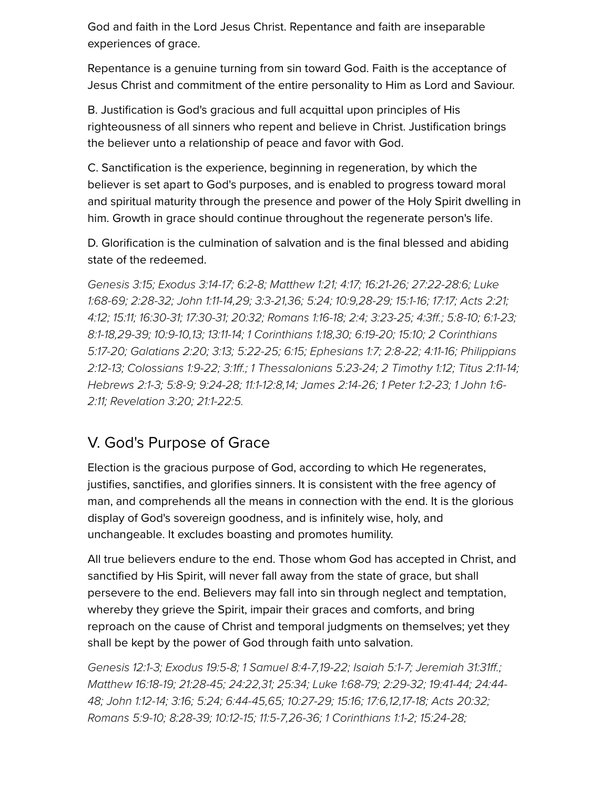God and faith in the Lord Jesus Christ. Repentance and faith are inseparable experiences of grace.

Repentance is a genuine turning from sin toward God. Faith is the acceptance of Jesus Christ and commitment of the entire personality to Him as Lord and Saviour.

B. Justification is God's gracious and full acquittal upon principles of His righteousness of all sinners who repent and believe in Christ. Justification brings the believer unto a relationship of peace and favor with God.

C. Sanctification is the experience, beginning in regeneration, by which the believer is set apart to God's purposes, and is enabled to progress toward moral and spiritual maturity through the presence and power of the Holy Spirit dwelling in him. Growth in grace should continue throughout the regenerate person's life.

D. Glorification is the culmination of salvation and is the final blessed and abiding state of the redeemed.

*[Genesis 3:1](http://biblia.com/bible/hcsb/Genesis%203.15)[5; E](http://biblia.com/bible/hcsb/Luke%201.68-69)[xodus 3:14-1](http://biblia.com/bible/hcsb/Exodus%203.14-17)[7;](http://biblia.com/bible/hcsb/Luke%201.68-69) [6:2-](http://biblia.com/bible/hcsb/Exodus%206.2-8)[8; M](http://biblia.com/bible/hcsb/Luke%201.68-69)[atthew 1:21](http://biblia.com/bible/hcsb/Matthew%201.21)[; 4](http://biblia.com/bible/hcsb/Luke%201.68-69)[:1](http://biblia.com/bible/hcsb/Matthew%204.17)[7;](http://biblia.com/bible/hcsb/Luke%201.68-69) [16:21-26](http://biblia.com/bible/hcsb/Matthew%2016.21-26)[; 2](http://biblia.com/bible/hcsb/Luke%201.68-69)[7:22-28:](http://biblia.com/bible/hcsb/Matthew%2027.22-28.6)[6; Luke](http://biblia.com/bible/hcsb/Luke%201.68-69) 1:68-69; [2:28-32](http://biblia.com/bible/hcsb/Luke%202.28-32); [John 1:11-14,](http://biblia.com/bible/hcsb/John%201.11-14)[29](http://biblia.com/bible/hcsb/John%201.29); [3:3-21](http://biblia.com/bible/hcsb/John%203.3-21),[36](http://biblia.com/bible/hcsb/John%203.36); [5:24](http://biblia.com/bible/hcsb/John%205.24); [10:9,](http://biblia.com/bible/hcsb/John%2010.9)[28-29;](http://biblia.com/bible/hcsb/John%2010.28-29) [15:1-16;](http://biblia.com/bible/hcsb/John%2015.1-16) [17:17](http://biblia.com/bible/hcsb/John%2017.17); [Acts 2:21](http://biblia.com/bible/hcsb/Acts%202.21); [4:12;](http://biblia.com/bible/hcsb/Acts%204.12) [15:11](http://biblia.com/bible/hcsb/Acts%2015.11); [16:30-31;](http://biblia.com/bible/hcsb/Acts%2016.30-31) [17:30-31;](http://biblia.com/bible/hcsb/Acts%2017.30-31) [20:32;](http://biblia.com/bible/hcsb/Acts%2020.32) [Romans 1:16-18;](http://biblia.com/bible/hcsb/Romans%201.16-18) [2:4;](http://biblia.com/bible/hcsb/Romans%202.4) [3:23-25;](http://biblia.com/bible/hcsb/Romans%203.23-25) [4:3ff](http://biblia.com/bible/hcsb/Romans%204.3ff).; [5:8-10;](http://biblia.com/bible/hcsb/Romans%205.8-10) [6:1-23;](http://biblia.com/bible/hcsb/Romans%206.1-23) [8:1-1](http://biblia.com/bible/hcsb/Romans%208.1-18)[8,2](http://biblia.com/bible/hcsb/2%20Corinthians%205.17-20)[9-3](http://biblia.com/bible/hcsb/Romans%208.29-39)[9; 1](http://biblia.com/bible/hcsb/2%20Corinthians%205.17-20)[0:9-1](http://biblia.com/bible/hcsb/Romans%2010.9-10)[0,1](http://biblia.com/bible/hcsb/2%20Corinthians%205.17-20)[3](http://biblia.com/bible/hcsb/Romans%2010.13)[; 1](http://biblia.com/bible/hcsb/2%20Corinthians%205.17-20)[3:11-14](http://biblia.com/bible/hcsb/Romans%2013.11-14)[;](http://biblia.com/bible/hcsb/2%20Corinthians%205.17-20) [1 Corinthians 1:1](http://biblia.com/bible/hcsb/1%20Corinthians%201.18)[8,3](http://biblia.com/bible/hcsb/2%20Corinthians%205.17-20)[0](http://biblia.com/bible/hcsb/1%20Corinthians%201.30)[;](http://biblia.com/bible/hcsb/2%20Corinthians%205.17-20) [6:19-20](http://biblia.com/bible/hcsb/1%20Corinthians%206.19-20)[;](http://biblia.com/bible/hcsb/2%20Corinthians%205.17-20) [15:10](http://biblia.com/bible/hcsb/1%20Corinthians%2015.10)[; 2 Corinthians](http://biblia.com/bible/hcsb/2%20Corinthians%205.17-20) 5:17-20; [Galatians 2:20](http://biblia.com/bible/hcsb/Galatians%202.20); [3:13;](http://biblia.com/bible/hcsb/Galatians%203.13) [5:22-25](http://biblia.com/bible/hcsb/Galatians%205.22-25); [6:15;](http://biblia.com/bible/hcsb/Galatians%206.15) [Ephesians 1:7](http://biblia.com/bible/hcsb/Ephesians%201.7); [2:8-22](http://biblia.com/bible/hcsb/Ephesians%202.8-22); [4:11-16;](http://biblia.com/bible/hcsb/Ephesians%204.11-16) Philippians [2:12-13; Colossians 1:9-22; 3:1ff.; 1 Thessalonians 5:23-24; 2 Timothy 1:12; Titus 2:11-14;](http://biblia.com/bible/hcsb/Philippians%202.12-13) [Hebrews 2:1-](http://biblia.com/bible/hcsb/Hebrews%202.1-3)[3;](http://biblia.com/bible/hcsb/1%20John%201.6-2.11) [5:8-](http://biblia.com/bible/hcsb/Hebrews%205.8-9)[9; 9](http://biblia.com/bible/hcsb/1%20John%201.6-2.11)[:24-2](http://biblia.com/bible/hcsb/Hebrews%209.24-28)[8;](http://biblia.com/bible/hcsb/1%20John%201.6-2.11) [11:1-12:8](http://biblia.com/bible/hcsb/Hebrews%2011.1-12.8)[,](http://biblia.com/bible/hcsb/1%20John%201.6-2.11)[1](http://biblia.com/bible/hcsb/Hebrews%2011.14)[4;](http://biblia.com/bible/hcsb/1%20John%201.6-2.11) [James 2:14-2](http://biblia.com/bible/hcsb/James%202.14-26)[6; 1](http://biblia.com/bible/hcsb/1%20John%201.6-2.11) [Peter 1:2-2](http://biblia.com/bible/hcsb/1%20Peter%201.2-23)[3; 1 John 1:6-](http://biblia.com/bible/hcsb/1%20John%201.6-2.11) 2:11; [Revelation 3:20](http://biblia.com/bible/hcsb/Revelation%203.20); [21:1-22:5](http://biblia.com/bible/hcsb/Revelation%2021.1-22.5).*

## V. God's Purpose of Grace

Election is the gracious purpose of God, according to which He regenerates, justifies, sanctifies, and glorifies sinners. It is consistent with the free agency of man, and comprehends all the means in connection with the end. It is the glorious display of God's sovereign goodness, and is infinitely wise, holy, and unchangeable. It excludes boasting and promotes humility.

All true believers endure to the end. Those whom God has accepted in Christ, and sanctified by His Spirit, will never fall away from the state of grace, but shall persevere to the end. Believers may fall into sin through neglect and temptation, whereby they grieve the Spirit, impair their graces and comforts, and bring reproach on the cause of Christ and temporal judgments on themselves; yet they shall be kept by the power of God through faith unto salvation.

*[Genesis 12:1-3](http://biblia.com/bible/hcsb/Genesis%2012.1-3); [Exodus 19:5-8;](http://biblia.com/bible/hcsb/Exodus%2019.5-8) [1 Samuel 8:4-7](http://biblia.com/bible/hcsb/1%20Samuel%208.4-7),[19-22](http://biblia.com/bible/hcsb/1%20Samuel%208.19-22); [Isaiah 5:1-7;](http://biblia.com/bible/hcsb/Isaiah%205.1-7) [Jeremiah 31:31ff](http://biblia.com/bible/hcsb/Jeremiah%2031.31ff).; [Matthew 16:18-1](http://biblia.com/bible/hcsb/Matthew%2016.18-19)[9; 2](http://biblia.com/bible/hcsb/Luke%2024.44-48)[1:28-4](http://biblia.com/bible/hcsb/Matthew%2021.28-45)[5; 2](http://biblia.com/bible/hcsb/Luke%2024.44-48)[4:22](http://biblia.com/bible/hcsb/Matthew%2024.22)[,3](http://biblia.com/bible/hcsb/Luke%2024.44-48)[1](http://biblia.com/bible/hcsb/Matthew%2024.31)[;](http://biblia.com/bible/hcsb/Luke%2024.44-48) [25:3](http://biblia.com/bible/hcsb/Matthew%2025.34)[4; L](http://biblia.com/bible/hcsb/Luke%2024.44-48)[uke 1:68-79](http://biblia.com/bible/hcsb/Luke%201.68-79)[; 2](http://biblia.com/bible/hcsb/Luke%2024.44-48)[:29-3](http://biblia.com/bible/hcsb/Luke%202.29-32)[2;](http://biblia.com/bible/hcsb/Luke%2024.44-48) [19:41-4](http://biblia.com/bible/hcsb/Luke%2019.41-44)[4; 24:44-](http://biblia.com/bible/hcsb/Luke%2024.44-48)* 48; [John 1:12-14](http://biblia.com/bible/hcsb/John%201.12-14); [3:16](http://biblia.com/bible/hcsb/John%203.16); [5:24;](http://biblia.com/bible/hcsb/John%205.24) [6:44-45](http://biblia.com/bible/hcsb/John%206.44-45),[65;](http://biblia.com/bible/hcsb/John%206.65) [10:27-29;](http://biblia.com/bible/hcsb/John%2010.27-29) [15:16;](http://biblia.com/bible/hcsb/John%2015.16) [17:6](http://biblia.com/bible/hcsb/John%2017.6)[,12](http://biblia.com/bible/hcsb/John%2017.12),[17-18](http://biblia.com/bible/hcsb/John%2017.17-18); [Acts 20:32](http://biblia.com/bible/hcsb/Acts%2020.32); *[Romans 5:9-10](http://biblia.com/bible/hcsb/Romans%205.9-10); [8:28-39](http://biblia.com/bible/hcsb/Romans%208.28-39); [10:12-15;](http://biblia.com/bible/hcsb/Romans%2010.12-15) [11:5-7](http://biblia.com/bible/hcsb/Romans%2011.5-7),[26-36;](http://biblia.com/bible/hcsb/Romans%2011.26-36) [1 Corinthians 1:1-2](http://biblia.com/bible/hcsb/1%20Corinthians%201.1-2); [15:24-28](http://biblia.com/bible/hcsb/1%20Corinthians%2015.24-28);*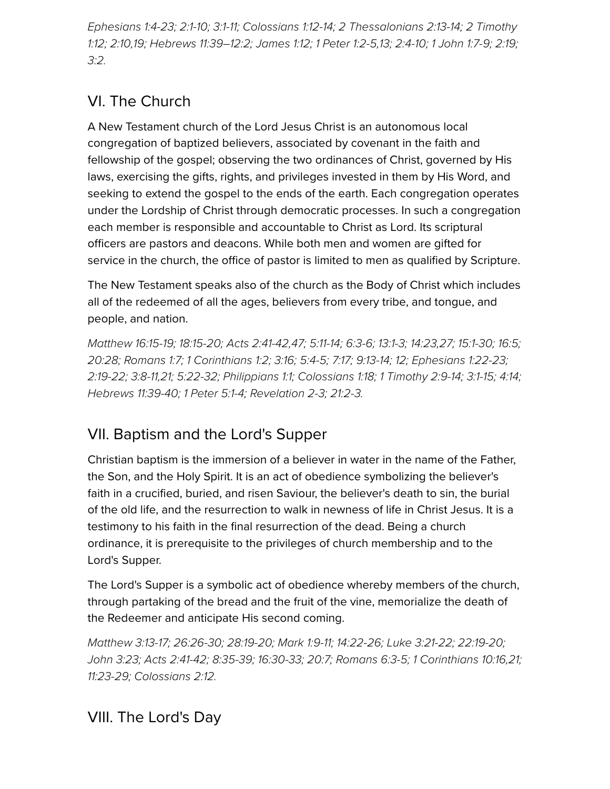*[Ephesians 1:4-23](http://biblia.com/bible/hcsb/Ephesians%201.4-23)[; 2](http://biblia.com/bible/hcsb/2%20Timothy%201.12)[:1-1](http://biblia.com/bible/hcsb/Ephesians%202.1-10)[0;](http://biblia.com/bible/hcsb/2%20Timothy%201.12) [3:1-1](http://biblia.com/bible/hcsb/Ephesians%203.1-11)[1; C](http://biblia.com/bible/hcsb/2%20Timothy%201.12)[olossians 1:12-1](http://biblia.com/bible/hcsb/Colossians%201.12-14)[4;](http://biblia.com/bible/hcsb/2%20Timothy%201.12) [2 Thessalonians 2:13-1](http://biblia.com/bible/hcsb/2%20Thessalonians%202.13-14)[4; 2 Timothy](http://biblia.com/bible/hcsb/2%20Timothy%201.12) 1:12; [2:10](http://biblia.com/bible/hcsb/2%20Timothy%202.10),[19;](http://biblia.com/bible/hcsb/2%20Timothy%202.19) [Hebrews 11:39–12:2](http://biblia.com/bible/hcsb/Hebrews%2011.39%E2%80%9312.2); [James 1:12](http://biblia.com/bible/hcsb/James%201.12); [1 Peter 1:2-5](http://biblia.com/bible/hcsb/1%20Peter%201.2-5)[,13](http://biblia.com/bible/hcsb/1%20Peter%201.13); [2:4-10;](http://biblia.com/bible/hcsb/1%20Peter%202.4-10) [1 John 1:7-9;](http://biblia.com/bible/hcsb/1%20John%201.7-9) [2:19;](http://biblia.com/bible/hcsb/1%20John%202.19) [3:2](http://biblia.com/bible/hcsb/1%20John%203.2).*

# VI. The Church

A New Testament church of the Lord Jesus Christ is an autonomous local congregation of baptized believers, associated by covenant in the faith and fellowship of the gospel; observing the two ordinances of Christ, governed by His laws, exercising the gifts, rights, and privileges invested in them by His Word, and seeking to extend the gospel to the ends of the earth. Each congregation operates under the Lordship of Christ through democratic processes. In such a congregation each member is responsible and accountable to Christ as Lord. Its scriptural officers are pastors and deacons. While both men and women are gifted for service in the church, the office of pastor is limited to men as qualified by Scripture.

The New Testament speaks also of the church as the Body of Christ which includes all of the redeemed of all the ages, believers from every tribe, and tongue, and people, and nation.

*[Matthew 16:15-19](http://biblia.com/bible/hcsb/Matthew%2016.15-19); [18:15-20;](http://biblia.com/bible/hcsb/Matthew%2018.15-20) [Acts 2:41-42,](http://biblia.com/bible/hcsb/Acts%202.41-42)[47](http://biblia.com/bible/hcsb/Acts%202.47); [5:11-14;](http://biblia.com/bible/hcsb/Acts%205.11-14) [6:3-6](http://biblia.com/bible/hcsb/Acts%206.3-6); [13:1-3;](http://biblia.com/bible/hcsb/Acts%2013.1-3) [14:23,](http://biblia.com/bible/hcsb/Acts%2014.23)[27](http://biblia.com/bible/hcsb/Acts%2014.27); [15:1-30](http://biblia.com/bible/hcsb/Acts%2015.1-30); [16:5](http://biblia.com/bible/hcsb/Acts%2016.5); [20:28;](http://biblia.com/bible/hcsb/Acts%2020.28) [Romans 1:7;](http://biblia.com/bible/hcsb/Romans%201.7) [1 Corinthians 1:2;](http://biblia.com/bible/hcsb/1%20Corinthians%201.2) [3:16](http://biblia.com/bible/hcsb/1%20Corinthians%203.16); [5:4-5;](http://biblia.com/bible/hcsb/1%20Corinthians%205.4-5) [7:17;](http://biblia.com/bible/hcsb/1%20Corinthians%207.17) [9:13-14](http://biblia.com/bible/hcsb/1%20Corinthians%209.13-14); [12;](http://biblia.com/bible/hcsb/1%20Corinthians%209.12) [Ephesians 1:22-23;](http://biblia.com/bible/hcsb/Ephesians%201.22-23) [2:19-22;](http://biblia.com/bible/hcsb/Ephesians%202.19-22) [3:8-11,](http://biblia.com/bible/hcsb/Ephesians%203.8-11)[21;](http://biblia.com/bible/hcsb/Ephesians%203.21) [5:22-32](http://biblia.com/bible/hcsb/Ephesians%205.22-32); [Philippians 1:1](http://biblia.com/bible/hcsb/Philippians%201.1); [Colossians 1:18;](http://biblia.com/bible/hcsb/Colossians%201.18) [1 Timothy 2:9-14](http://biblia.com/bible/hcsb/1%20Timothy%202.9-14); [3:1-15;](http://biblia.com/bible/hcsb/1%20Timothy%203.1-15) [4:14;](http://biblia.com/bible/hcsb/1%20Timothy%204.14) [Hebrews 11:39-40;](http://biblia.com/bible/hcsb/Hebrews%2011.39-40) [1 Peter 5:1-4](http://biblia.com/bible/hcsb/1%20Peter%205.1-4); Revelation 2-3; 21:2-3.*

# VII. Baptism and the Lord's Supper

Christian baptism is the immersion of a believer in water in the name of the Father, the Son, and the Holy Spirit. It is an act of obedience symbolizing the believer's faith in a crucified, buried, and risen Saviour, the believer's death to sin, the burial of the old life, and the resurrection to walk in newness of life in Christ Jesus. It is a testimony to his faith in the final resurrection of the dead. Being a church ordinance, it is prerequisite to the privileges of church membership and to the Lord's Supper.

The Lord's Supper is a symbolic act of obedience whereby members of the church, through partaking of the bread and the fruit of the vine, memorialize the death of the Redeemer and anticipate His second coming.

*[Matthew 3:13-17;](http://biblia.com/bible/hcsb/Matthew%203.13-17) [26:26-30](http://biblia.com/bible/hcsb/Matthew%2026.26-30); [28:19-20](http://biblia.com/bible/hcsb/Matthew%2028.19-20); [Mark 1:9-11;](http://biblia.com/bible/hcsb/Mark%201.9-11) [14:22-26;](http://biblia.com/bible/hcsb/Mark%2014.22-26) [Luke 3:21-22](http://biblia.com/bible/hcsb/Luke%203.21-22); [22:19-20](http://biblia.com/bible/hcsb/Luke%2022.19-20); [John 3:23](http://biblia.com/bible/hcsb/John%203.23); [Acts 2:41-42](http://biblia.com/bible/hcsb/Acts%202.41-42); [8:35-39](http://biblia.com/bible/hcsb/Acts%208.35-39); [16:30-33;](http://biblia.com/bible/hcsb/Acts%2016.30-33) [20:7;](http://biblia.com/bible/hcsb/Acts%2020.7) [Romans 6:3-5](http://biblia.com/bible/hcsb/Romans%206.3-5); [1 Corinthians 10:16](http://biblia.com/bible/hcsb/1%20Corinthians%2010.16),[21](http://biblia.com/bible/hcsb/1%20Corinthians%2010.21); [11:23-29](http://biblia.com/bible/hcsb/1%20Corinthians%2011.23-29); [Colossians 2:12](http://biblia.com/bible/hcsb/Colossians%202.12).*

## VIII. The Lord's Day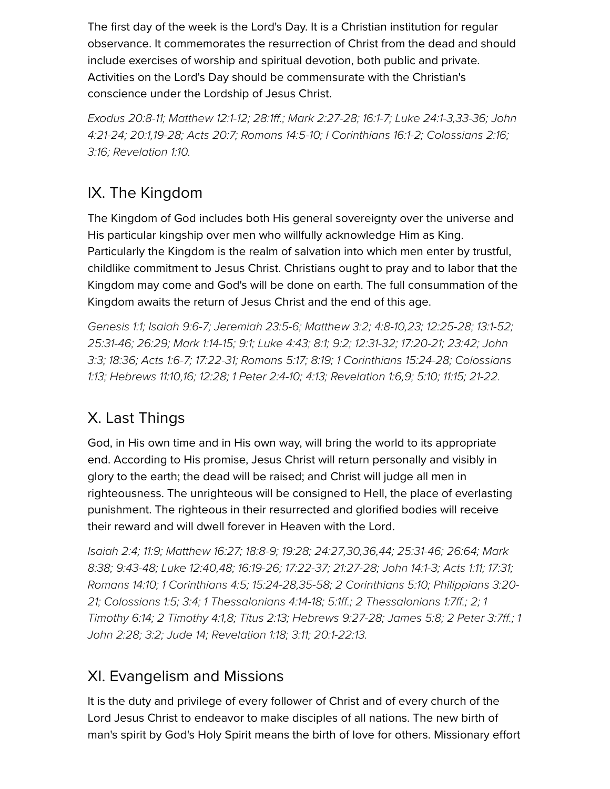The first day of the week is the Lord's Day. It is a Christian institution for regular observance. It commemorates the resurrection of Christ from the dead and should include exercises of worship and spiritual devotion, both public and private. Activities on the Lord's Day should be commensurate with the Christian's conscience under the Lordship of Jesus Christ.

*[Exodus 20:8-11](http://biblia.com/bible/hcsb/Exodus%2020.8-11)[;](http://biblia.com/bible/hcsb/John%204.21-24) [Matthew 12:1-12](http://biblia.com/bible/hcsb/Matthew%2012.1-12)[;](http://biblia.com/bible/hcsb/John%204.21-24) [28:1ff](http://biblia.com/bible/hcsb/Matthew%2028.1ff)[.;](http://biblia.com/bible/hcsb/John%204.21-24) [Mark 2:27-28](http://biblia.com/bible/hcsb/Mark%202.27-28)[;](http://biblia.com/bible/hcsb/John%204.21-24) [16:1-7](http://biblia.com/bible/hcsb/Mark%2016.1-7)[; L](http://biblia.com/bible/hcsb/John%204.21-24)[uke 24:1-3](http://biblia.com/bible/hcsb/Luke%2024.1-3)[,](http://biblia.com/bible/hcsb/John%204.21-24)[33-36](http://biblia.com/bible/hcsb/Luke%2024.33-36)[; John](http://biblia.com/bible/hcsb/John%204.21-24) 4:21-24; [20:1](http://biblia.com/bible/hcsb/John%2020.1),[19-28;](http://biblia.com/bible/hcsb/John%2020.19-28) [Acts 20:7](http://biblia.com/bible/hcsb/Acts%2020.7); [Romans 14:5-10](http://biblia.com/bible/hcsb/Romans%2014.5-10); [I Corinthians 16:1-2;](http://biblia.com/bible/hcsb/I%20Corinthians%2016.1-2) [Colossians 2:16;](http://biblia.com/bible/hcsb/Colossians%202.16) [3:16;](http://biblia.com/bible/hcsb/Colossians%203.16) [Revelation 1:10.](http://biblia.com/bible/hcsb/Revelation%201.10)*

## IX. The Kingdom

The Kingdom of God includes both His general sovereignty over the universe and His particular kingship over men who willfully acknowledge Him as King. Particularly the Kingdom is the realm of salvation into which men enter by trustful, childlike commitment to Jesus Christ. Christians ought to pray and to labor that the Kingdom may come and God's will be done on earth. The full consummation of the Kingdom awaits the return of Jesus Christ and the end of this age.

*[Genesis 1:1](http://biblia.com/bible/hcsb/Genesis%201.1); [Isaiah 9:6-7](http://biblia.com/bible/hcsb/Isaiah%209.6-7); [Jeremiah 23:5-6](http://biblia.com/bible/hcsb/Jeremiah%2023.5-6); [Matthew 3:2](http://biblia.com/bible/hcsb/Matthew%203.2); [4:8-10](http://biblia.com/bible/hcsb/Matthew%204.8-10)[,23;](http://biblia.com/bible/hcsb/Matthew%204.23) [12:25-28](http://biblia.com/bible/hcsb/Matthew%2012.25-28); [13:1-52;](http://biblia.com/bible/hcsb/Matthew%2013.1-52)* [25:31-46](http://biblia.com/bible/hcsb/Matthew%2025.31-46)[; 2](http://biblia.com/bible/hcsb/John%203.3)[6:2](http://biblia.com/bible/hcsb/Matthew%2026.29)[9;](http://biblia.com/bible/hcsb/John%203.3) [Mark 1:14-1](http://biblia.com/bible/hcsb/Mark%201.14-15)[5; 9](http://biblia.com/bible/hcsb/John%203.3)[:](http://biblia.com/bible/hcsb/Mark%209.1)[1; L](http://biblia.com/bible/hcsb/John%203.3)[uke 4:4](http://biblia.com/bible/hcsb/Luke%204.43)[3;](http://biblia.com/bible/hcsb/John%203.3) [8:](http://biblia.com/bible/hcsb/Luke%208.1)[1; 9](http://biblia.com/bible/hcsb/John%203.3)[:2](http://biblia.com/bible/hcsb/Luke%209.2)[;](http://biblia.com/bible/hcsb/John%203.3) [12:31-32](http://biblia.com/bible/hcsb/Luke%2012.31-32)[; 1](http://biblia.com/bible/hcsb/John%203.3)[7:20-21](http://biblia.com/bible/hcsb/Luke%2017.20-21); [23:42](http://biblia.com/bible/hcsb/Luke%2023.42)[; John](http://biblia.com/bible/hcsb/John%203.3) *[3:3;](http://biblia.com/bible/hcsb/Colossians%201.13) [18:3](http://biblia.com/bible/hcsb/John%2018.36)[6; A](http://biblia.com/bible/hcsb/Colossians%201.13)[cts 1:6-](http://biblia.com/bible/hcsb/Acts%201.6-7)[7;](http://biblia.com/bible/hcsb/Colossians%201.13) [17:22-3](http://biblia.com/bible/hcsb/Acts%2017.22-31)[1;](http://biblia.com/bible/hcsb/Colossians%201.13) [Romans 5:1](http://biblia.com/bible/hcsb/Romans%205.17)[7;](http://biblia.com/bible/hcsb/Colossians%201.13) [8:1](http://biblia.com/bible/hcsb/Romans%208.19)[9;](http://biblia.com/bible/hcsb/Colossians%201.13) [1 Corinthians 15:24-2](http://biblia.com/bible/hcsb/1%20Corinthians%2015.24-28)[8; Colossians](http://biblia.com/bible/hcsb/Colossians%201.13) 1:13; [Hebrews 11:10](http://biblia.com/bible/hcsb/Hebrews%2011.10),[16;](http://biblia.com/bible/hcsb/Hebrews%2011.16) [12:28](http://biblia.com/bible/hcsb/Hebrews%2012.28); [1 Peter 2:4-10](http://biblia.com/bible/hcsb/1%20Peter%202.4-10); [4:13](http://biblia.com/bible/hcsb/1%20Peter%204.13); [Revelation 1:6](http://biblia.com/bible/hcsb/Revelation%201.6),[9;](http://biblia.com/bible/hcsb/Revelation%201.9) [5:10](http://biblia.com/bible/hcsb/Revelation%205.10); [11:15;](http://biblia.com/bible/hcsb/Revelation%2011.15) [21-22.](http://biblia.com/bible/hcsb/Revelation%2011.21-22)*

# X. Last Things

God, in His own time and in His own way, will bring the world to its appropriate end. According to His promise, Jesus Christ will return personally and visibly in glory to the earth; the dead will be raised; and Christ will judge all men in righteousness. The unrighteous will be consigned to Hell, the place of everlasting punishment. The righteous in their resurrected and glorified bodies will receive their reward and will dwell forever in Heaven with the Lord.

[Isaiah 2:4](http://biblia.com/bible/hcsb/Isaiah%202.4); [11:9;](http://biblia.com/bible/hcsb/Isaiah%2011.9) [Matthew 16:27;](http://biblia.com/bible/hcsb/Matthew%2016.27) [18:8-9](http://biblia.com/bible/hcsb/Matthew%2018.8-9); [19:28](http://biblia.com/bible/hcsb/Matthew%2019.28); [24:27](http://biblia.com/bible/hcsb/Matthew%2024.27),[30,](http://biblia.com/bible/hcsb/Matthew%2024.30)[36,](http://biblia.com/bible/hcsb/Matthew%2024.36)[44](http://biblia.com/bible/hcsb/Matthew%2024.44); [25:31-46;](http://biblia.com/bible/hcsb/Matthew%2025.31-46) [26:64;](http://biblia.com/bible/hcsb/Matthew%2026.64) Mark *[8:38; 9:43-48; Luke 12:40,48; 16:19-26; 17:22-37; 21:27-28; John 14:1-3; Acts 1:11; 17:3](http://biblia.com/bible/hcsb/Mark%208.38)[1;](http://biblia.com/bible/hcsb/Acts%2017.31) [Romans 14:10](http://biblia.com/bible/hcsb/Romans%2014.10)[; 1](http://biblia.com/bible/hcsb/Philippians%203.20-21) [Corinthians 4:5](http://biblia.com/bible/hcsb/1%20Corinthians%204.5)[;](http://biblia.com/bible/hcsb/Philippians%203.20-21) [15:24-28](http://biblia.com/bible/hcsb/1%20Corinthians%2015.24-28)[,](http://biblia.com/bible/hcsb/Philippians%203.20-21)[35-5](http://biblia.com/bible/hcsb/1%20Corinthians%2015.35-58)[8; 2](http://biblia.com/bible/hcsb/Philippians%203.20-21) [Corinthians 5:10](http://biblia.com/bible/hcsb/2%20Corinthians%205.10)[; Philippians 3:20-](http://biblia.com/bible/hcsb/Philippians%203.20-21) 21; [Colossians 1:5;](http://biblia.com/bible/hcsb/Colossians%201.5) [3:4;](http://biblia.com/bible/hcsb/Colossians%203.4) [1 Thessalonians 4:14-18](http://biblia.com/bible/hcsb/1%20Thessalonians%204.14-18); [5:1ff.](http://biblia.com/bible/hcsb/1%20Thessalonians%205.1ff); [2 Thessalonians 1:7ff](http://biblia.com/bible/hcsb/2%20Thessalonians%201.7ff).; [2;](http://biblia.com/bible/hcsb/2%20Thessalonians%201.2) 1 [Timothy 6:14; 2 Timothy 4:1,8; Titus 2:13; Hebrews 9:27-28; James 5:8; 2 Peter](http://biblia.com/bible/hcsb/1%20Timothy%206.14) [3:7f](http://biblia.com/bible/hcsb/2%20Peter%203.7ff)[f.; 1](http://biblia.com/bible/hcsb/1%20John%202.28) John 2:28; [3:2;](http://biblia.com/bible/hcsb/1%20John%203.2) [Jude 14;](http://biblia.com/bible/hcsb/Jude%2014) [Revelation 1:18](http://biblia.com/bible/hcsb/Revelation%201.18); [3:11](http://biblia.com/bible/hcsb/Revelation%203.11); [20:1-22:13](http://biblia.com/bible/hcsb/Revelation%2020.1-22.13).*

#### XI. Evangelism and Missions

It is the duty and privilege of every follower of Christ and of every church of the Lord Jesus Christ to endeavor to make disciples of all nations. The new birth of man's spirit by God's Holy Spirit means the birth of love for others. Missionary effort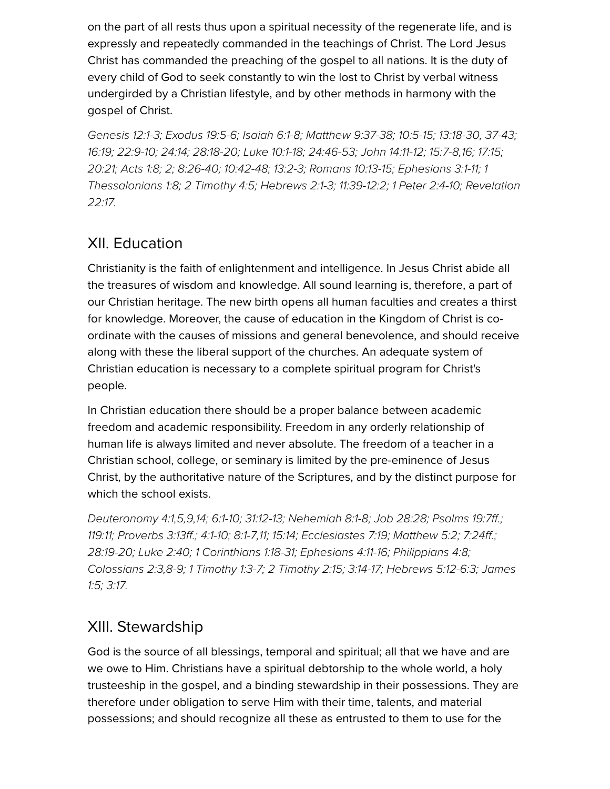on the part of all rests thus upon a spiritual necessity of the regenerate life, and is expressly and repeatedly commanded in the teachings of Christ. The Lord Jesus Christ has commanded the preaching of the gospel to all nations. It is the duty of every child of God to seek constantly to win the lost to Christ by verbal witness undergirded by a Christian lifestyle, and by other methods in harmony with the gospel of Christ.

*[Genesis 12:1-3](http://biblia.com/bible/hcsb/Genesis%2012.1-3); [Exodus 19:5-6;](http://biblia.com/bible/hcsb/Exodus%2019.5-6) [Isaiah 6:1-8;](http://biblia.com/bible/hcsb/Isaiah%206.1-8) [Matthew 9:37-38](http://biblia.com/bible/hcsb/Matthew%209.37-38); [10:5-15;](http://biblia.com/bible/hcsb/Matthew%2010.5-15) [13:18-30,](http://biblia.com/bible/hcsb/Matthew%2013.18-30) [37-43](http://biblia.com/bible/hcsb/Matthew%2013.37-43); [16:19](http://biblia.com/bible/hcsb/Matthew%2016.19); [22:9-10;](http://biblia.com/bible/hcsb/Matthew%2022.9-10) [24:14;](http://biblia.com/bible/hcsb/Matthew%2024.14) [28:18-20;](http://biblia.com/bible/hcsb/Matthew%2028.18-20) [Luke 10:1-18](http://biblia.com/bible/hcsb/Luke%2010.1-18); [24:46-53;](http://biblia.com/bible/hcsb/Luke%2024.46-53) [John 14:11-12](http://biblia.com/bible/hcsb/John%2014.11-12); [15:7-8](http://biblia.com/bible/hcsb/John%2015.7-8)[,16](http://biblia.com/bible/hcsb/John%2015.16); [17:15;](http://biblia.com/bible/hcsb/John%2017.15) [20:21;](http://biblia.com/bible/hcsb/John%2020.21) [Acts 1:8](http://biblia.com/bible/hcsb/Acts%201.8); [2;](http://biblia.com/bible/hcsb/Acts%201.2) [8:26-40](http://biblia.com/bible/hcsb/Acts%208.26-40); [10:42-48](http://biblia.com/bible/hcsb/Acts%2010.42-48); [13:2-3;](http://biblia.com/bible/hcsb/Acts%2013.2-3) [Romans 10:13-15;](http://biblia.com/bible/hcsb/Romans%2010.13-15) [Ephesians 3:1-11](http://biblia.com/bible/hcsb/Ephesians%203.1-11); 1 [Thessalonians 1:8; 2 Timothy 4:5; Hebrews 2:1-3; 11:39-12:2; 1 Peter 2:4-10; Rev](http://biblia.com/bible/hcsb/1%20Thessalonians%201.8)[elation](http://biblia.com/bible/hcsb/Revelation%2022.17) 22:17.*

## XII. Education

Christianity is the faith of enlightenment and intelligence. In Jesus Christ abide all the treasures of wisdom and knowledge. All sound learning is, therefore, a part of our Christian heritage. The new birth opens all human faculties and creates a thirst for knowledge. Moreover, the cause of education in the Kingdom of Christ is coordinate with the causes of missions and general benevolence, and should receive along with these the liberal support of the churches. An adequate system of Christian education is necessary to a complete spiritual program for Christ's people.

In Christian education there should be a proper balance between academic freedom and academic responsibility. Freedom in any orderly relationship of human life is always limited and never absolute. The freedom of a teacher in a Christian school, college, or seminary is limited by the pre-eminence of Jesus Christ, by the authoritative nature of the Scriptures, and by the distinct purpose for which the school exists.

*[Deuteronomy 4:1](http://biblia.com/bible/hcsb/Deuteronomy%204.1)[,5](http://biblia.com/bible/hcsb/Deuteronomy%204.5)[,9](http://biblia.com/bible/hcsb/Deuteronomy%204.9),[14;](http://biblia.com/bible/hcsb/Deuteronomy%204.14) [6:1-10;](http://biblia.com/bible/hcsb/Deuteronomy%206.1-10) [31:12-13;](http://biblia.com/bible/hcsb/Deuteronomy%2031.12-13) [Nehemiah 8:1-8;](http://biblia.com/bible/hcsb/Nehemiah%208.1-8) [Job 28:28](http://biblia.com/bible/hcsb/Job%2028.28); [Psalms 19:7ff.](http://biblia.com/bible/hcsb/Psalms%2019.7ff); [119:11](http://biblia.com/bible/hcsb/Psalms%20119.11); [Proverbs 3:13ff](http://biblia.com/bible/hcsb/Proverbs%203.13ff).; [4:1-10](http://biblia.com/bible/hcsb/Proverbs%204.1-10); [8:1-7,](http://biblia.com/bible/hcsb/Proverbs%208.1-7)[11;](http://biblia.com/bible/hcsb/Proverbs%208.11) [15:14;](http://biblia.com/bible/hcsb/Proverbs%2015.14) [Ecclesiastes 7:19](http://biblia.com/bible/hcsb/Ecclesiastes%207.19); [Matthew 5:2](http://biblia.com/bible/hcsb/Matthew%205.2); [7:24ff.](http://biblia.com/bible/hcsb/Matthew%207.24ff); [28:19-20](http://biblia.com/bible/hcsb/Matthew%2028.19-20); [Luke 2:40](http://biblia.com/bible/hcsb/Luke%202.40); [1 Corinthians 1:18-31;](http://biblia.com/bible/hcsb/1%20Corinthians%201.18-31) [Ephesians 4:11-16](http://biblia.com/bible/hcsb/Ephesians%204.11-16); [Philippians 4:8](http://biblia.com/bible/hcsb/Philippians%204.8); [Colossians 2:](http://biblia.com/bible/hcsb/Colossians%202.3)[3,8](http://biblia.com/bible/hcsb/James%201.5)[-](http://biblia.com/bible/hcsb/Colossians%202.8-9)[9; 1](http://biblia.com/bible/hcsb/James%201.5) [Timothy 1:3-](http://biblia.com/bible/hcsb/1%20Timothy%201.3-7)[7;](http://biblia.com/bible/hcsb/James%201.5) [2 Timothy 2:15](http://biblia.com/bible/hcsb/2%20Timothy%202.15)[; 3](http://biblia.com/bible/hcsb/James%201.5)[:14-1](http://biblia.com/bible/hcsb/2%20Timothy%203.14-17)[7;](http://biblia.com/bible/hcsb/James%201.5) [Hebrews 5:12-6:3](http://biblia.com/bible/hcsb/Hebrews%205.12-6.3)[; James](http://biblia.com/bible/hcsb/James%201.5) 1:5; [3:17.](http://biblia.com/bible/hcsb/James%203.17)*

#### XIII. Stewardship

God is the source of all blessings, temporal and spiritual; all that we have and are we owe to Him. Christians have a spiritual debtorship to the whole world, a holy trusteeship in the gospel, and a binding stewardship in their possessions. They are therefore under obligation to serve Him with their time, talents, and material possessions; and should recognize all these as entrusted to them to use for the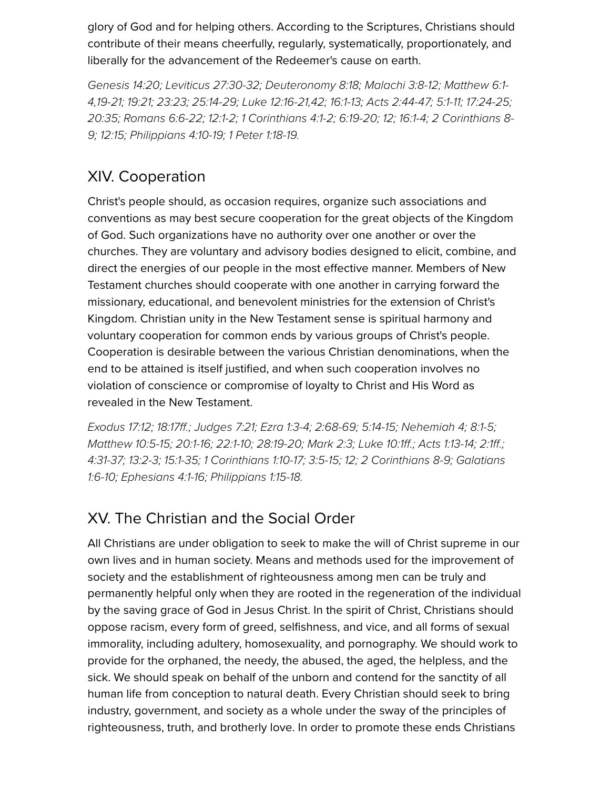glory of God and for helping others. According to the Scriptures, Christians should contribute of their means cheerfully, regularly, systematically, proportionately, and liberally for the advancement of the Redeemer's cause on earth.

*[Genesis 14:20](http://biblia.com/bible/hcsb/Genesis%2014.20); [Leviticus 27:30-32;](http://biblia.com/bible/hcsb/Leviticus%2027.30-32) [Deuteronomy 8:18](http://biblia.com/bible/hcsb/Deuteronomy%208.18); [Malachi 3:8-12](http://biblia.com/bible/hcsb/Malachi%203.8-12); Matthew 6:1- [4,19-21; 19:21; 23:23; 25:14-29; Luke 12:16-21,42; 16:1-13; Acts 2:44-47; 5:1-11; 17:24-2](http://biblia.com/bible/hcsb/Matthew%206.1-4)[5;](http://biblia.com/bible/hcsb/Acts%2017.24-25) [20:35](http://biblia.com/bible/hcsb/Acts%2020.35); [Romans 6:6-22](http://biblia.com/bible/hcsb/Romans%206.6-22); [12:1-2;](http://biblia.com/bible/hcsb/Romans%2012.1-2) [1 Corinthians 4:1-2;](http://biblia.com/bible/hcsb/1%20Corinthians%204.1-2) [6:19-20;](http://biblia.com/bible/hcsb/1%20Corinthians%206.19-20) [12](http://biblia.com/bible/hcsb/1%20Corinthians%206.12); [16:1-4;](http://biblia.com/bible/hcsb/1%20Corinthians%2016.1-4) 2 Corinthians 8- 9; 12:15; [Philippians 4:10-19](http://biblia.com/bible/hcsb/Philippians%204.10-19); [1 Peter 1:18-19](http://biblia.com/bible/hcsb/1%20Peter%201.18-19).* 

## XIV. Cooperation

Christ's people should, as occasion requires, organize such associations and conventions as may best secure cooperation for the great objects of the Kingdom of God. Such organizations have no authority over one another or over the churches. They are voluntary and advisory bodies designed to elicit, combine, and direct the energies of our people in the most effective manner. Members of New Testament churches should cooperate with one another in carrying forward the missionary, educational, and benevolent ministries for the extension of Christ's Kingdom. Christian unity in the New Testament sense is spiritual harmony and voluntary cooperation for common ends by various groups of Christ's people. Cooperation is desirable between the various Christian denominations, when the end to be attained is itself justified, and when such cooperation involves no violation of conscience or compromise of loyalty to Christ and His Word as revealed in the New Testament.

*[Exodus 17:12;](http://biblia.com/bible/hcsb/Exodus%2017.12) [18:17ff.](http://biblia.com/bible/hcsb/Exodus%2018.17ff); [Judges 7:21;](http://biblia.com/bible/hcsb/Judges%207.21) [Ezra 1:3-4;](http://biblia.com/bible/hcsb/Ezra%201.3-4) [2:68-69](http://biblia.com/bible/hcsb/Ezra%202.68-69); [5:14-15](http://biblia.com/bible/hcsb/Ezra%205.14-15); Nehemiah 4; 8:1-5; [Matthew 10:5-15;](http://biblia.com/bible/hcsb/Matthew%2010.5-15) [20:1-16](http://biblia.com/bible/hcsb/Matthew%2020.1-16); [22:1-10](http://biblia.com/bible/hcsb/Matthew%2022.1-10); [28:19-20;](http://biblia.com/bible/hcsb/Matthew%2028.19-20) [Mark 2:3](http://biblia.com/bible/hcsb/Mark%202.3); [Luke 10:1ff.](http://biblia.com/bible/hcsb/Luke%2010.1ff); [Acts 1:13-14](http://biblia.com/bible/hcsb/Acts%201.13-14); [2:1ff](http://biblia.com/bible/hcsb/Acts%202.1ff).; [4:31-3](http://biblia.com/bible/hcsb/Acts%204.31-37)[7;](http://biblia.com/bible/hcsb/Galatians%201.6-10) [13:2-](http://biblia.com/bible/hcsb/Acts%2013.2-3)[3; 1](http://biblia.com/bible/hcsb/Galatians%201.6-10)[5:1-3](http://biblia.com/bible/hcsb/Acts%2015.1-35)[5; 1](http://biblia.com/bible/hcsb/Galatians%201.6-10) [Corinthians 1:10-1](http://biblia.com/bible/hcsb/1%20Corinthians%201.10-17)[7;](http://biblia.com/bible/hcsb/Galatians%201.6-10) [3:5-1](http://biblia.com/bible/hcsb/1%20Corinthians%203.5-15)[5;](http://biblia.com/bible/hcsb/Galatians%201.6-10) [12](http://biblia.com/bible/hcsb/1%20Corinthians%203.12)[; 2 Corinthians 8-9; Galatians](http://biblia.com/bible/hcsb/Galatians%201.6-10) 1:6-10; [Ephesians 4:1-16;](http://biblia.com/bible/hcsb/Ephesians%204.1-16) [Philippians 1:15-18.](http://biblia.com/bible/hcsb/Philippians%201.15-18)* 

#### XV. The Christian and the Social Order

All Christians are under obligation to seek to make the will of Christ supreme in our own lives and in human society. Means and methods used for the improvement of society and the establishment of righteousness among men can be truly and permanently helpful only when they are rooted in the regeneration of the individual by the saving grace of God in Jesus Christ. In the spirit of Christ, Christians should oppose racism, every form of greed, selfishness, and vice, and all forms of sexual immorality, including adultery, homosexuality, and pornography. We should work to provide for the orphaned, the needy, the abused, the aged, the helpless, and the sick. We should speak on behalf of the unborn and contend for the sanctity of all human life from conception to natural death. Every Christian should seek to bring industry, government, and society as a whole under the sway of the principles of righteousness, truth, and brotherly love. In order to promote these ends Christians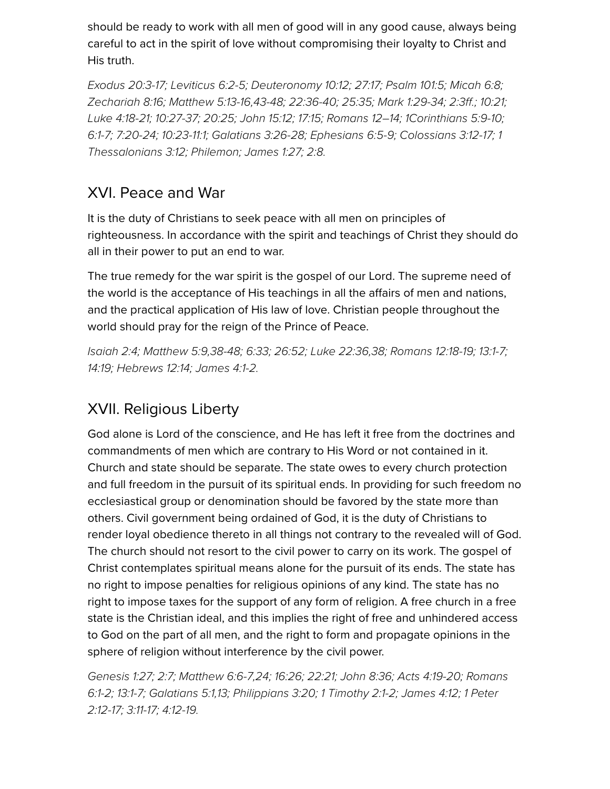should be ready to work with all men of good will in any good cause, always being careful to act in the spirit of love without compromising their loyalty to Christ and His truth.

*[Exodus 20:3-17;](http://biblia.com/bible/hcsb/Exodus%2020.3-17) [Leviticus 6:2-5](http://biblia.com/bible/hcsb/Leviticus%206.2-5); [Deuteronomy 10:12;](http://biblia.com/bible/hcsb/Deuteronomy%2010.12) [27:17;](http://biblia.com/bible/hcsb/Deuteronomy%2027.17) [Psalm 101:5](http://biblia.com/bible/hcsb/Psalm%20101.5); [Micah 6:8;](http://biblia.com/bible/hcsb/Micah%206.8) [Zechariah 8:16](http://biblia.com/bible/hcsb/Zechariah%208.16); [Matthew 5:13-16](http://biblia.com/bible/hcsb/Matthew%205.13-16)[,43-48](http://biblia.com/bible/hcsb/Matthew%205.43-48); [22:36-40;](http://biblia.com/bible/hcsb/Matthew%2022.36-40) [25:35;](http://biblia.com/bible/hcsb/Matthew%2025.35) [Mark 1:29-34;](http://biblia.com/bible/hcsb/Mark%201.29-34) [2:3ff.](http://biblia.com/bible/hcsb/Mark%202.3ff); [10:21](http://biblia.com/bible/hcsb/Mark%2010.21); [Luke 4:18-21](http://biblia.com/bible/hcsb/Luke%204.18-21); [10:27-37;](http://biblia.com/bible/hcsb/Luke%2010.27-37) [20:25](http://biblia.com/bible/hcsb/Luke%2020.25); [John 15:12;](http://biblia.com/bible/hcsb/John%2015.12) [17:15](http://biblia.com/bible/hcsb/John%2017.15); Romans 12–14; [1Corinthians 5:9-10;](http://biblia.com/bible/hcsb/1Corinthians%205.9-10) [6:1-7](http://biblia.com/bible/hcsb/1Corinthians%206.1-7)[; 7](http://biblia.com/bible/hcsb/1%20Thessalonians%203.12)[:20-24](http://biblia.com/bible/hcsb/1Corinthians%207.20-24)[;](http://biblia.com/bible/hcsb/1%20Thessalonians%203.12) [10:23-11:1](http://biblia.com/bible/hcsb/1Corinthians%2010.23-11.1)[; G](http://biblia.com/bible/hcsb/1%20Thessalonians%203.12)[alatians 3:26-28](http://biblia.com/bible/hcsb/Galatians%203.26-28)[; E](http://biblia.com/bible/hcsb/1%20Thessalonians%203.12)[phesians 6:5-9](http://biblia.com/bible/hcsb/Ephesians%206.5-9)[;](http://biblia.com/bible/hcsb/1%20Thessalonians%203.12) [Colossians 3:12-1](http://biblia.com/bible/hcsb/Colossians%203.12-17)[7; 1](http://biblia.com/bible/hcsb/1%20Thessalonians%203.12) Thessalonians 3:12; Philemon; [James 1:27](http://biblia.com/bible/hcsb/James%201.27); [2:8.](http://biblia.com/bible/hcsb/James%202.8)*

#### XVI. Peace and War

It is the duty of Christians to seek peace with all men on principles of righteousness. In accordance with the spirit and teachings of Christ they should do all in their power to put an end to war.

The true remedy for the war spirit is the gospel of our Lord. The supreme need of the world is the acceptance of His teachings in all the affairs of men and nations, and the practical application of His law of love. Christian people throughout the world should pray for the reign of the Prince of Peace.

*[Isaiah 2:4](http://biblia.com/bible/hcsb/Isaiah%202.4); [Matthew 5:9](http://biblia.com/bible/hcsb/Matthew%205.9)[,38-48](http://biblia.com/bible/hcsb/Matthew%205.38-48); [6:33;](http://biblia.com/bible/hcsb/Matthew%206.33) [26:52](http://biblia.com/bible/hcsb/Matthew%2026.52); [Luke 22:36](http://biblia.com/bible/hcsb/Luke%2022.36),[38](http://biblia.com/bible/hcsb/Luke%2022.38); [Romans 12:18-19](http://biblia.com/bible/hcsb/Romans%2012.18-19); [13:1-7](http://biblia.com/bible/hcsb/Romans%2013.1-7); [14:19;](http://biblia.com/bible/hcsb/Romans%2014.19) [Hebrews 12:14;](http://biblia.com/bible/hcsb/Hebrews%2012.14) [James 4:1-2](http://biblia.com/bible/hcsb/James%204.1-2).*

#### XVII. Religious Liberty

God alone is Lord of the conscience, and He has left it free from the doctrines and commandments of men which are contrary to His Word or not contained in it. Church and state should be separate. The state owes to every church protection and full freedom in the pursuit of its spiritual ends. In providing for such freedom no ecclesiastical group or denomination should be favored by the state more than others. Civil government being ordained of God, it is the duty of Christians to render loyal obedience thereto in all things not contrary to the revealed will of God. The church should not resort to the civil power to carry on its work. The gospel of Christ contemplates spiritual means alone for the pursuit of its ends. The state has no right to impose penalties for religious opinions of any kind. The state has no right to impose taxes for the support of any form of religion. A free church in a free state is the Christian ideal, and this implies the right of free and unhindered access to God on the part of all men, and the right to form and propagate opinions in the sphere of religion without interference by the civil power.

*[Genesis 1:27](http://biblia.com/bible/hcsb/Genesis%201.27)[;](http://biblia.com/bible/hcsb/Romans%206.1-2) [2:](http://biblia.com/bible/hcsb/Genesis%202.7)[7; M](http://biblia.com/bible/hcsb/Romans%206.1-2)[atthew 6:6-7](http://biblia.com/bible/hcsb/Matthew%206.6-7)[,24; 1](http://biblia.com/bible/hcsb/Romans%206.1-2)[6:2](http://biblia.com/bible/hcsb/Matthew%2016.26)[6; 2](http://biblia.com/bible/hcsb/Romans%206.1-2)[2:2](http://biblia.com/bible/hcsb/Matthew%2022.21)[1; J](http://biblia.com/bible/hcsb/Romans%206.1-2)[ohn 8:3](http://biblia.com/bible/hcsb/John%208.36)[6;](http://biblia.com/bible/hcsb/Romans%206.1-2) [Acts 4:19-2](http://biblia.com/bible/hcsb/Acts%204.19-20)[0; Romans](http://biblia.com/bible/hcsb/Romans%206.1-2) [6:1-2; 1](http://biblia.com/bible/hcsb/1%20Peter%202.12-17)[3:1-7](http://biblia.com/bible/hcsb/Romans%2013.1-7)[; G](http://biblia.com/bible/hcsb/1%20Peter%202.12-17)[alatians 5:](http://biblia.com/bible/hcsb/Galatians%205.1)[1,](http://biblia.com/bible/hcsb/1%20Peter%202.12-17)[1](http://biblia.com/bible/hcsb/Galatians%205.13)[3;](http://biblia.com/bible/hcsb/1%20Peter%202.12-17) [Philippians 3:20](http://biblia.com/bible/hcsb/Philippians%203.20)[;](http://biblia.com/bible/hcsb/1%20Peter%202.12-17) [1 Timothy 2:1-](http://biblia.com/bible/hcsb/1%20Timothy%202.1-2)[2;](http://biblia.com/bible/hcsb/1%20Peter%202.12-17) [James 4:1](http://biblia.com/bible/hcsb/James%204.12)[2; 1 Peter](http://biblia.com/bible/hcsb/1%20Peter%202.12-17) 2:12-17; [3:11-17](http://biblia.com/bible/hcsb/1%20Peter%203.11-17); [4:12-19](http://biblia.com/bible/hcsb/1%20Peter%204.12-19).*